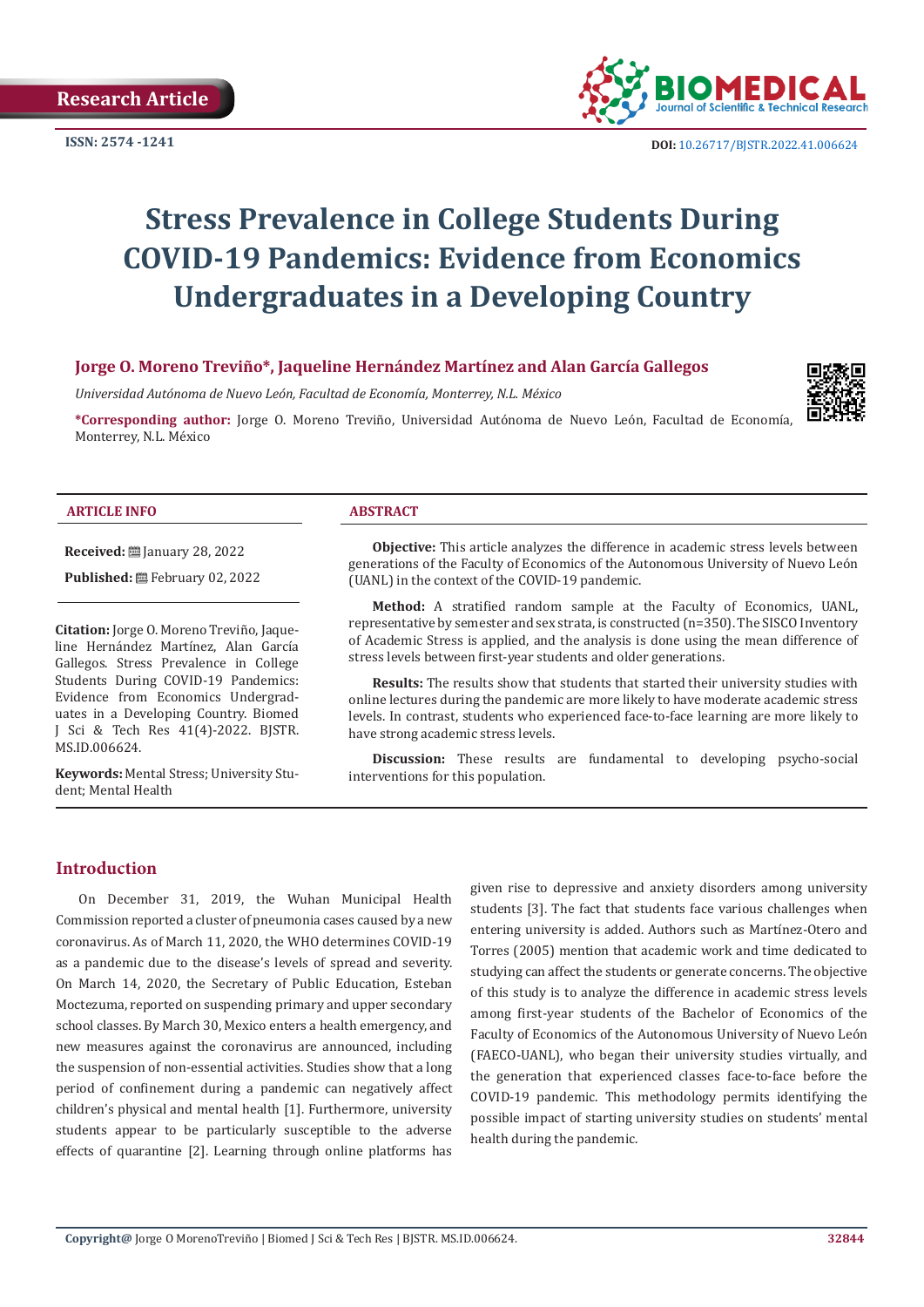

# **Stress Prevalence in College Students During COVID-19 Pandemics: Evidence from Economics Undergraduates in a Developing Country**

# **Jorge O. Moreno Treviño\*, Jaqueline Hernández Martínez and Alan García Gallegos**

*Universidad Autónoma de Nuevo León, Facultad de Economía, Monterrey, N.L. México*

**\*Corresponding author:** Jorge O. Moreno Treviño, Universidad Autónoma de Nuevo León, Facultad de Economía, Monterrey, N.L. México



#### **ARTICLE INFO ABSTRACT**

**Received:** January 28, 2022

Published: **世**February 02, 2022

**Citation:** Jorge O. Moreno Treviño, Jaqueline Hernández Martínez, Alan García Gallegos. Stress Prevalence in College Students During COVID-19 Pandemics: Evidence from Economics Undergraduates in a Developing Country. Biomed J Sci & Tech Res 41(4)-2022. BJSTR. MS.ID.006624.

**Keywords:** Mental Stress; University Student; Mental Health

**Objective:** This article analyzes the difference in academic stress levels between generations of the Faculty of Economics of the Autonomous University of Nuevo León (UANL) in the context of the COVID-19 pandemic.

**Method:** A stratified random sample at the Faculty of Economics, UANL, representative by semester and sex strata, is constructed (n=350). The SISCO Inventory of Academic Stress is applied, and the analysis is done using the mean difference of stress levels between first-year students and older generations.

**Results:** The results show that students that started their university studies with online lectures during the pandemic are more likely to have moderate academic stress levels. In contrast, students who experienced face-to-face learning are more likely to have strong academic stress levels.

**Discussion:** These results are fundamental to developing psycho-social interventions for this population.

### **Introduction**

On December 31, 2019, the Wuhan Municipal Health Commission reported a cluster of pneumonia cases caused by a new coronavirus. As of March 11, 2020, the WHO determines COVID-19 as a pandemic due to the disease's levels of spread and severity. On March 14, 2020, the Secretary of Public Education, Esteban Moctezuma, reported on suspending primary and upper secondary school classes. By March 30, Mexico enters a health emergency, and new measures against the coronavirus are announced, including the suspension of non-essential activities. Studies show that a long period of confinement during a pandemic can negatively affect children's physical and mental health [1]. Furthermore, university students appear to be particularly susceptible to the adverse effects of quarantine [2]. Learning through online platforms has

given rise to depressive and anxiety disorders among university students [3]. The fact that students face various challenges when entering university is added. Authors such as Martínez-Otero and Torres (2005) mention that academic work and time dedicated to studying can affect the students or generate concerns. The objective of this study is to analyze the difference in academic stress levels among first-year students of the Bachelor of Economics of the Faculty of Economics of the Autonomous University of Nuevo León (FAECO-UANL), who began their university studies virtually, and the generation that experienced classes face-to-face before the COVID-19 pandemic. This methodology permits identifying the possible impact of starting university studies on students' mental health during the pandemic.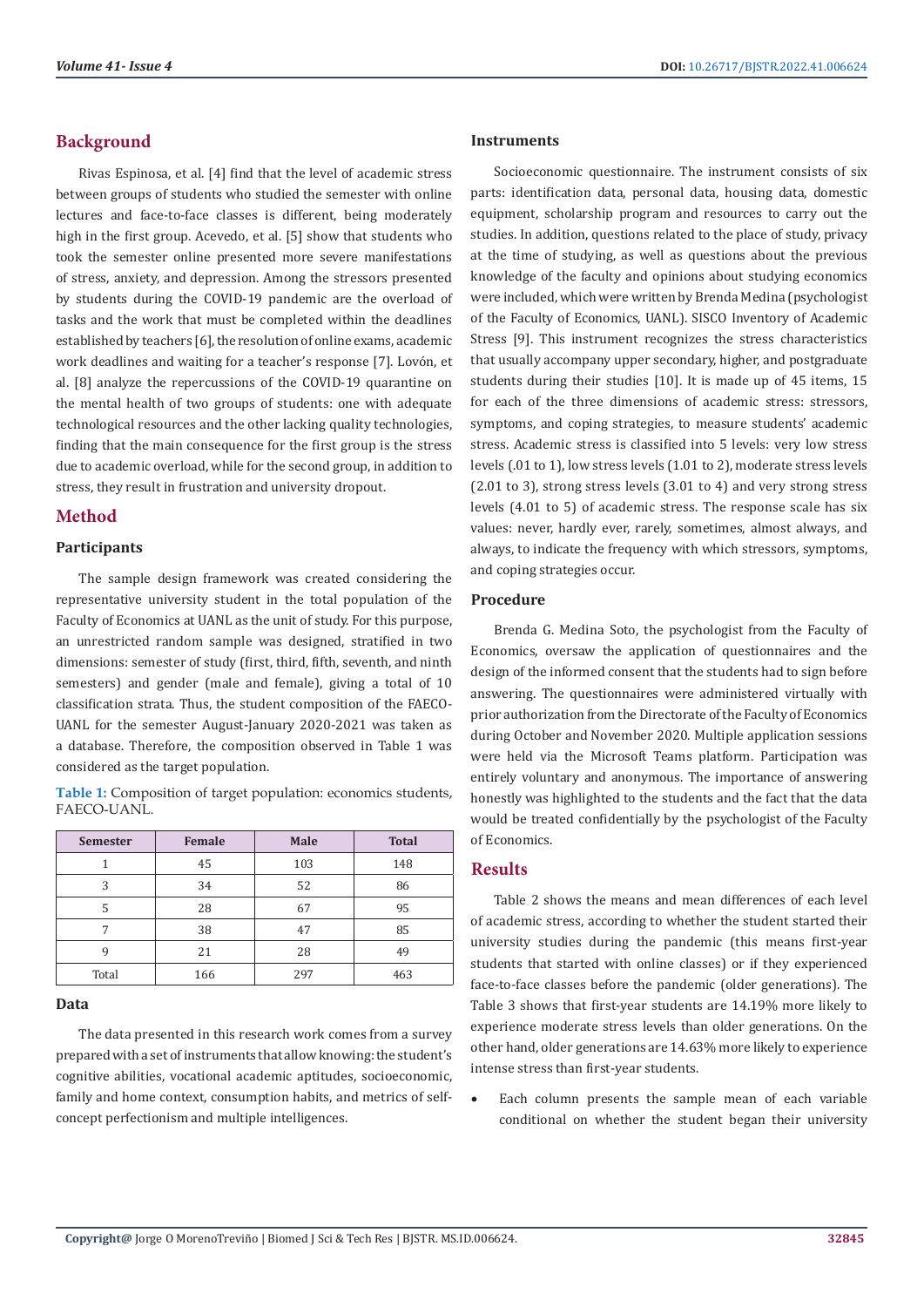# **Background**

Rivas Espinosa, et al. [4] find that the level of academic stress between groups of students who studied the semester with online lectures and face-to-face classes is different, being moderately high in the first group. Acevedo, et al. [5] show that students who took the semester online presented more severe manifestations of stress, anxiety, and depression. Among the stressors presented by students during the COVID-19 pandemic are the overload of tasks and the work that must be completed within the deadlines established by teachers [6], the resolution of online exams, academic work deadlines and waiting for a teacher's response [7]. Lovón, et al. [8] analyze the repercussions of the COVID-19 quarantine on the mental health of two groups of students: one with adequate technological resources and the other lacking quality technologies, finding that the main consequence for the first group is the stress due to academic overload, while for the second group, in addition to stress, they result in frustration and university dropout.

# **Method**

#### **Participants**

The sample design framework was created considering the representative university student in the total population of the Faculty of Economics at UANL as the unit of study. For this purpose, an unrestricted random sample was designed, stratified in two dimensions: semester of study (first, third, fifth, seventh, and ninth semesters) and gender (male and female), giving a total of 10 classification strata. Thus, the student composition of the FAECO-UANL for the semester August-January 2020-2021 was taken as a database. Therefore, the composition observed in Table 1 was considered as the target population.

| Table 1: Composition of target population: economics students, |  |
|----------------------------------------------------------------|--|
| FAECO-UANL.                                                    |  |

| <b>Semester</b> | <b>Female</b> | Male | <b>Total</b> |
|-----------------|---------------|------|--------------|
|                 | 45            | 103  | 148          |
| 3               | 34            | 52   | 86           |
| 5               | 28            | 67   | 95           |
|                 | 38            | 47   | 85           |
| q               | 21            | 28   | 49           |
| Total           | 166           | 297  | 463          |

#### **Data**

The data presented in this research work comes from a survey prepared with a set of instruments that allow knowing: the student's cognitive abilities, vocational academic aptitudes, socioeconomic, family and home context, consumption habits, and metrics of selfconcept perfectionism and multiple intelligences.

#### **Instruments**

Socioeconomic questionnaire. The instrument consists of six parts: identification data, personal data, housing data, domestic equipment, scholarship program and resources to carry out the studies. In addition, questions related to the place of study, privacy at the time of studying, as well as questions about the previous knowledge of the faculty and opinions about studying economics were included, which were written by Brenda Medina (psychologist of the Faculty of Economics, UANL). SISCO Inventory of Academic Stress [9]. This instrument recognizes the stress characteristics that usually accompany upper secondary, higher, and postgraduate students during their studies [10]. It is made up of 45 items, 15 for each of the three dimensions of academic stress: stressors, symptoms, and coping strategies, to measure students' academic stress. Academic stress is classified into 5 levels: very low stress levels (.01 to 1), low stress levels (1.01 to 2), moderate stress levels (2.01 to 3), strong stress levels (3.01 to 4) and very strong stress levels (4.01 to 5) of academic stress. The response scale has six values: never, hardly ever, rarely, sometimes, almost always, and always, to indicate the frequency with which stressors, symptoms, and coping strategies occur.

#### **Procedure**

Brenda G. Medina Soto, the psychologist from the Faculty of Economics, oversaw the application of questionnaires and the design of the informed consent that the students had to sign before answering. The questionnaires were administered virtually with prior authorization from the Directorate of the Faculty of Economics during October and November 2020. Multiple application sessions were held via the Microsoft Teams platform. Participation was entirely voluntary and anonymous. The importance of answering honestly was highlighted to the students and the fact that the data would be treated confidentially by the psychologist of the Faculty of Economics.

#### **Results**

Table 2 shows the means and mean differences of each level of academic stress, according to whether the student started their university studies during the pandemic (this means first-year students that started with online classes) or if they experienced face-to-face classes before the pandemic (older generations). The Table 3 shows that first-year students are 14.19% more likely to experience moderate stress levels than older generations. On the other hand, older generations are 14.63% more likely to experience intense stress than first-year students.

• Each column presents the sample mean of each variable conditional on whether the student began their university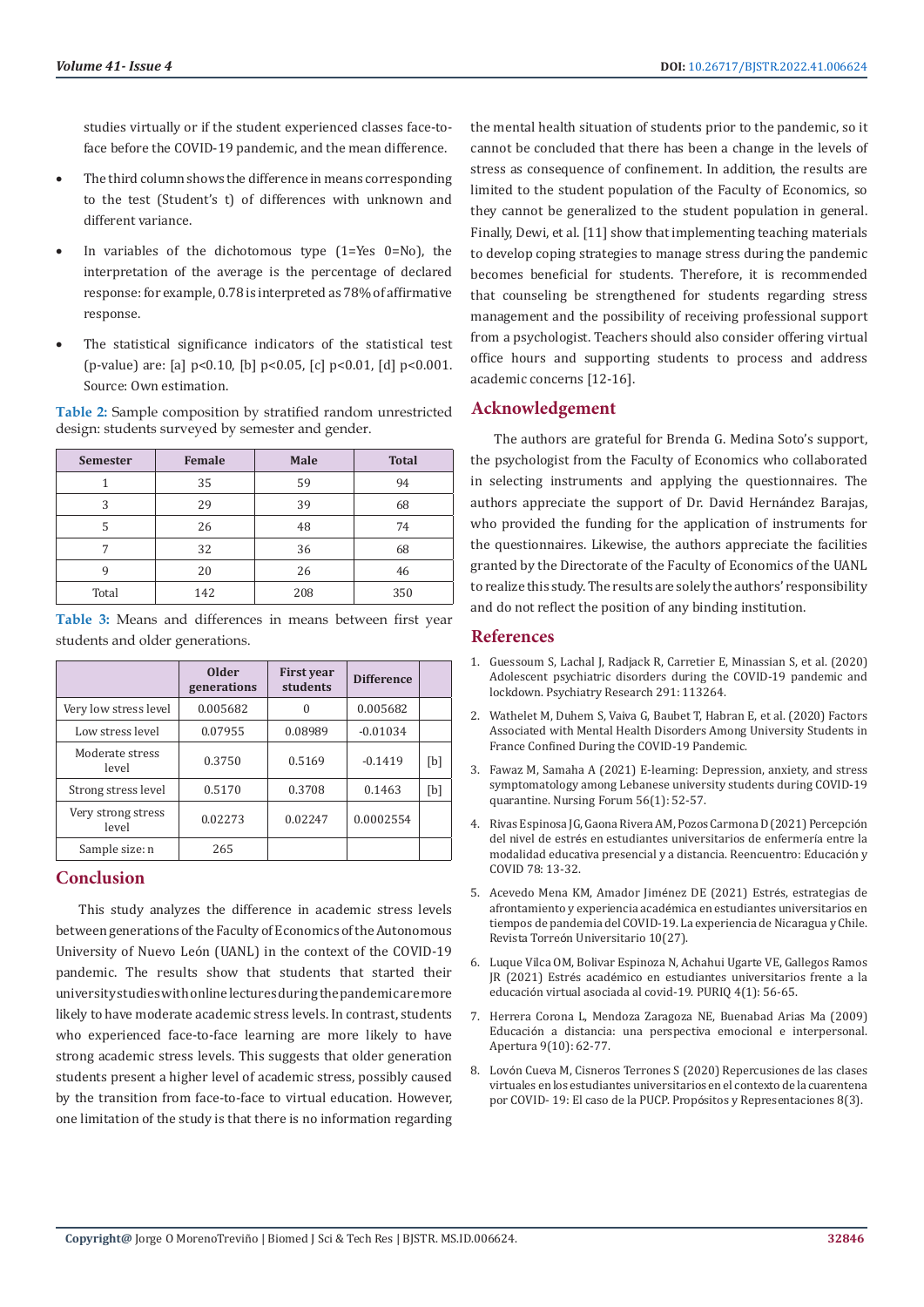studies virtually or if the student experienced classes face-toface before the COVID-19 pandemic, and the mean difference.

- The third column shows the difference in means corresponding to the test (Student's t) of differences with unknown and different variance.
- In variables of the dichotomous type  $(1=Yes \ 0=No)$ , the interpretation of the average is the percentage of declared response: for example, 0.78 is interpreted as 78% of affirmative response.
- The statistical significance indicators of the statistical test (p-value) are: [a] p<0.10, [b] p<0.05, [c] p<0.01, [d] p<0.001. Source: Own estimation.

**Table 2:** Sample composition by stratified random unrestricted design: students surveyed by semester and gender.

| <b>Semester</b> | Female | Male | <b>Total</b> |
|-----------------|--------|------|--------------|
|                 | 35     | 59   | 94           |
| 3               | 29     | 39   | 68           |
| 5               | 26     | 48   | 74           |
|                 | 32     | 36   | 68           |
| q               | 20     | 26   | 46           |
| Total           | 142    | 208  | 350          |

**Table 3:** Means and differences in means between first year students and older generations.

|                             | <b>Older</b><br>generations | <b>First year</b><br>students | <b>Difference</b> |     |
|-----------------------------|-----------------------------|-------------------------------|-------------------|-----|
| Very low stress level       | 0.005682                    |                               | 0.005682          |     |
| Low stress level            | 0.07955                     | 0.08989                       | $-0.01034$        |     |
| Moderate stress<br>level    | 0.3750                      | 0.5169                        | $-0.1419$         | [b] |
| Strong stress level         | 0.5170                      | 0.3708                        | 0.1463            | [b] |
| Very strong stress<br>level | 0.02273                     | 0.02247                       | 0.0002554         |     |
| Sample size: n              | 265                         |                               |                   |     |

# **Conclusion**

This study analyzes the difference in academic stress levels between generations of the Faculty of Economics of the Autonomous University of Nuevo León (UANL) in the context of the COVID-19 pandemic. The results show that students that started their university studies with online lectures during the pandemic are more likely to have moderate academic stress levels. In contrast, students who experienced face-to-face learning are more likely to have strong academic stress levels. This suggests that older generation students present a higher level of academic stress, possibly caused by the transition from face-to-face to virtual education. However, one limitation of the study is that there is no information regarding the mental health situation of students prior to the pandemic, so it cannot be concluded that there has been a change in the levels of stress as consequence of confinement. In addition, the results are limited to the student population of the Faculty of Economics, so they cannot be generalized to the student population in general. Finally, Dewi, et al. [11] show that implementing teaching materials to develop coping strategies to manage stress during the pandemic becomes beneficial for students. Therefore, it is recommended that counseling be strengthened for students regarding stress management and the possibility of receiving professional support from a psychologist. Teachers should also consider offering virtual office hours and supporting students to process and address academic concerns [12-16].

## **Acknowledgement**

The authors are grateful for Brenda G. Medina Soto's support, the psychologist from the Faculty of Economics who collaborated in selecting instruments and applying the questionnaires. The authors appreciate the support of Dr. David Hernández Barajas, who provided the funding for the application of instruments for the questionnaires. Likewise, the authors appreciate the facilities granted by the Directorate of the Faculty of Economics of the UANL to realize this study. The results are solely the authors' responsibility and do not reflect the position of any binding institution.

#### **References**

- 1. [Guessoum S, Lachal J, Radjack R, Carretier E, Minassian S, et al. \(2020\)](https://www.ncbi.nlm.nih.gov/labs/pmc/articles/PMC7323662/) [Adolescent psychiatric disorders during the COVID-19 pandemic and](https://www.ncbi.nlm.nih.gov/labs/pmc/articles/PMC7323662/) [lockdown. Psychiatry Research 291: 113264.](https://www.ncbi.nlm.nih.gov/labs/pmc/articles/PMC7323662/)
- 2. [Wathelet M, Duhem S, Vaiva G, Baubet T, Habran E, et al. \(2020\) Factors](https://jamanetwork.com/journals/jamanetworkopen/fullarticle/2772154) [Associated with Mental Health Disorders Among University Students in](https://jamanetwork.com/journals/jamanetworkopen/fullarticle/2772154) [France Confined During the COVID-19 Pandemic.](https://jamanetwork.com/journals/jamanetworkopen/fullarticle/2772154)
- 3. [Fawaz M, Samaha A \(2021\) E-learning: Depression, anxiety, and stress](https://pubmed.ncbi.nlm.nih.gov/33125744/) [symptomatology among Lebanese university students during COVID-19](https://pubmed.ncbi.nlm.nih.gov/33125744/) [quarantine. Nursing Forum 56\(1\): 52-57.](https://pubmed.ncbi.nlm.nih.gov/33125744/)
- 4. Rivas Espinosa JG, Gaona Rivera AM, Pozos Carmona D (2021) Percepción del nivel de estrés en estudiantes universitarios de enfermería entre la modalidad educativa presencial y a distancia. Reencuentro: Educación y COVID 78: 13-32.
- 5. Acevedo Mena KM, Amador Jiménez DE (2021) Estrés, estrategias de afrontamiento y experiencia académica en estudiantes universitarios en tiempos de pandemia del COVID-19. La experiencia de Nicaragua y Chile. Revista Torreón Universitario 10(27).
- 6. [Luque Vilca OM, Bolivar Espinoza N, Achahui Ugarte VE, Gallegos Ramos](https://www.revistas.unah.edu.pe/index.php/puriq/article/view/200) JR (2021) Estrés acadé[mico en estudiantes universitarios frente a la](https://www.revistas.unah.edu.pe/index.php/puriq/article/view/200) educació[n virtual asociada al covid-19. PURIQ 4\(1\): 56-65.](https://www.revistas.unah.edu.pe/index.php/puriq/article/view/200)
- 7. [Herrera Corona L, Mendoza Zaragoza NE, Buenabad Arias Ma \(2009\)](http://www.udgvirtual.udg.mx/apertura/index.php/apertura4/article/view/116) Educació[n a distancia: una perspectiva emocional e interpersonal.](http://www.udgvirtual.udg.mx/apertura/index.php/apertura4/article/view/116) [Apertura 9\(10\): 62-77.](http://www.udgvirtual.udg.mx/apertura/index.php/apertura4/article/view/116)
- 8. Lovón Cueva M, Cisneros Terrones S (2020) Repercusiones de las clases virtuales en los estudiantes universitarios en el contexto de la cuarentena por COVID- 19: El caso de la PUCP. Propósitos y Representaciones 8(3).